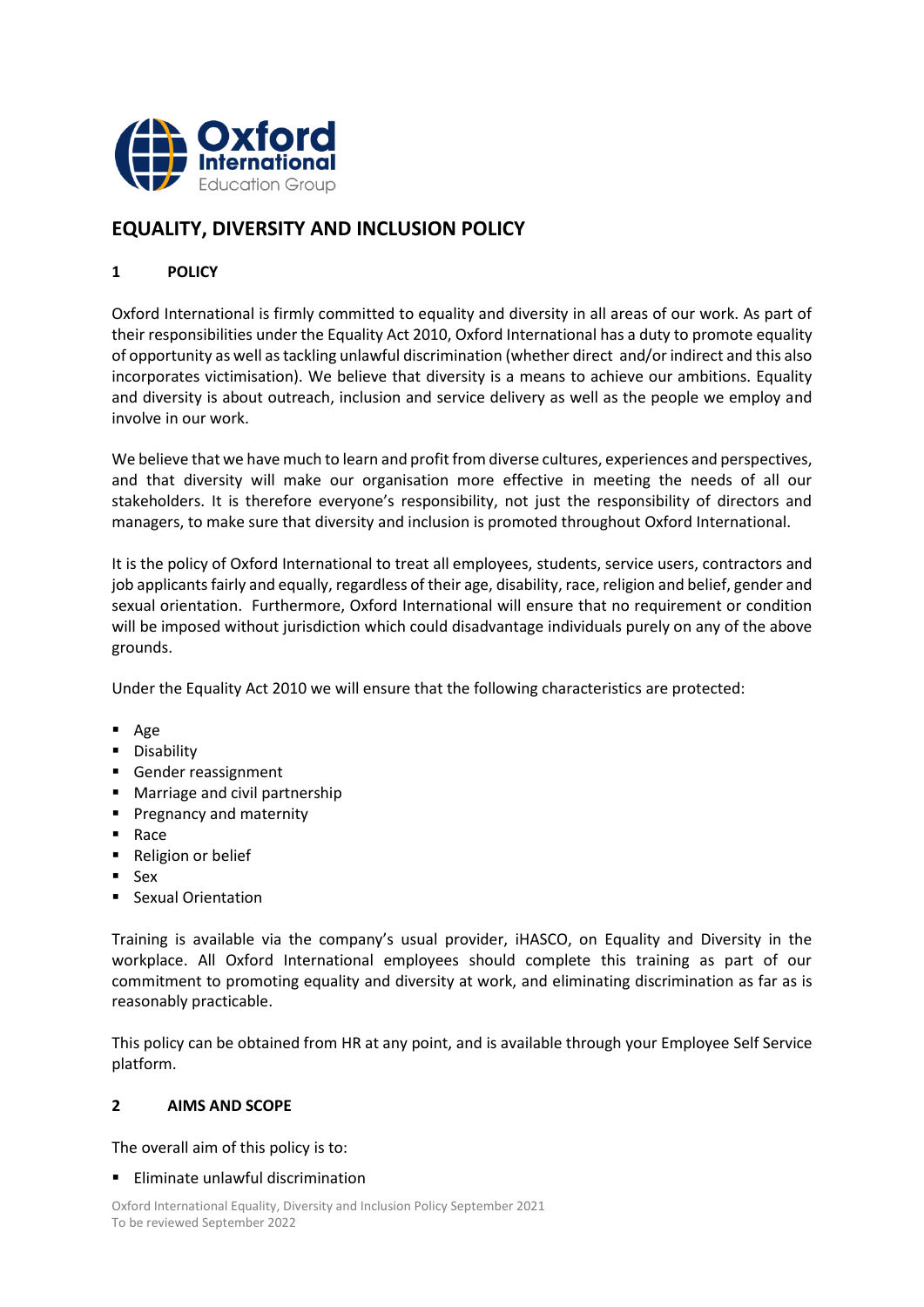

# **EQUALITY, DIVERSITY AND INCLUSION POLICY**

# **1 POLICY**

Oxford International is firmly committed to equality and diversity in all areas of our work. As part of their responsibilities under the Equality Act 2010, Oxford International has a duty to promote equality of opportunity as well as tackling unlawful discrimination (whether direct and/or indirect and this also incorporates victimisation). We believe that diversity is a means to achieve our ambitions. Equality and diversity is about outreach, inclusion and service delivery as well as the people we employ and involve in our work.

We believe that we have much to learn and profit from diverse cultures, experiences and perspectives, and that diversity will make our organisation more effective in meeting the needs of all our stakeholders. It is therefore everyone's responsibility, not just the responsibility of directors and managers, to make sure that diversity and inclusion is promoted throughout Oxford International.

It is the policy of Oxford International to treat all employees, students, service users, contractors and job applicants fairly and equally, regardless of their age, disability, race, religion and belief, gender and sexual orientation. Furthermore, Oxford International will ensure that no requirement or condition will be imposed without jurisdiction which could disadvantage individuals purely on any of the above grounds.

Under the Equality Act 2010 we will ensure that the following characteristics are protected:

- Age
- **·** Disability
- Gender reassignment
- Marriage and civil partnership
- Pregnancy and maternity
- Race
- Religion or belief
- Sex
- Sexual Orientation

Training is available via the company's usual provider, iHASCO, on Equality and Diversity in the workplace. All Oxford International employees should complete this training as part of our commitment to promoting equality and diversity at work, and eliminating discrimination as far as is reasonably practicable.

This policy can be obtained from HR at any point, and is available through your Employee Self Service platform.

# **2 AIMS AND SCOPE**

The overall aim of this policy is to:

# ■ Eliminate unlawful discrimination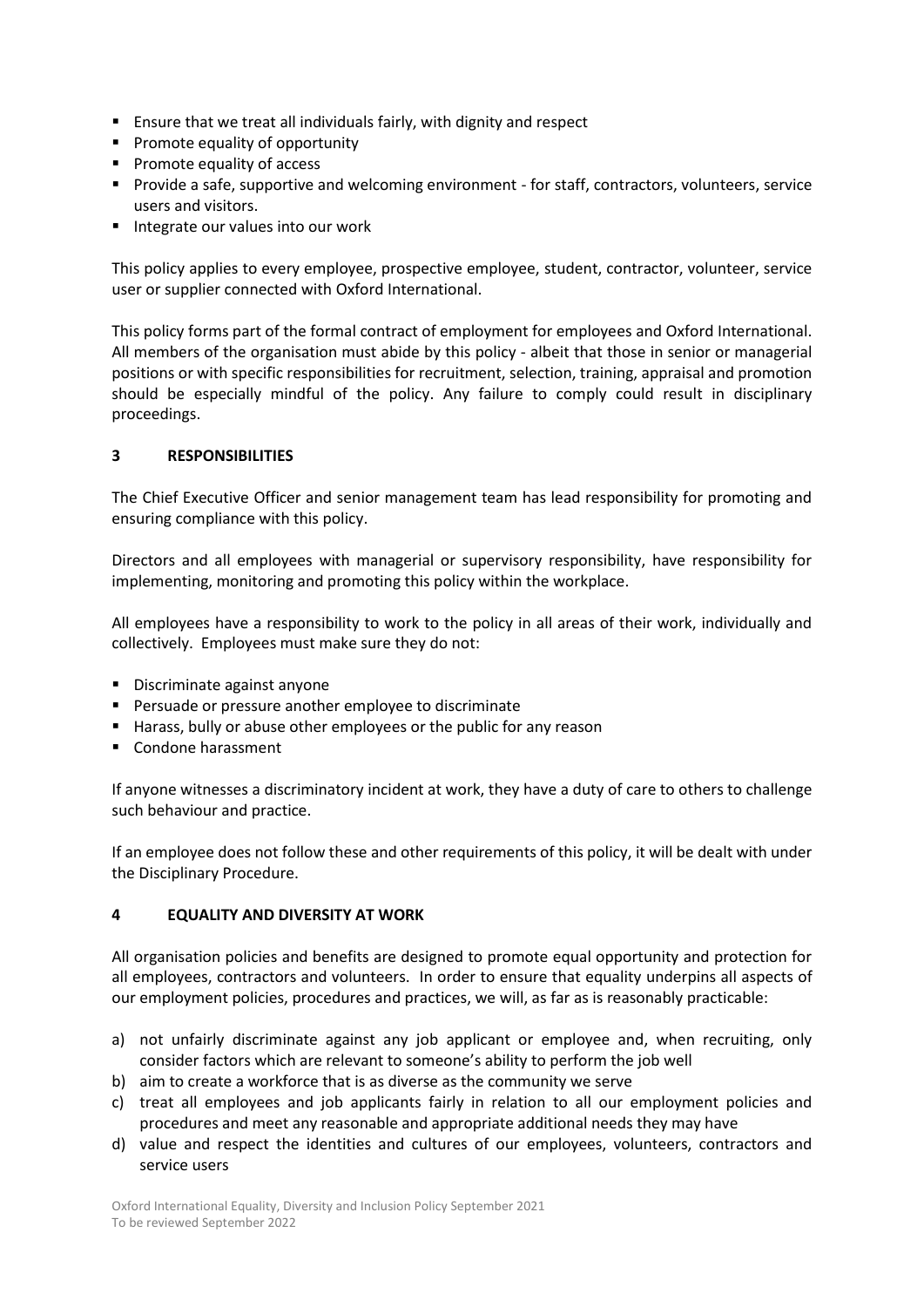- Ensure that we treat all individuals fairly, with dignity and respect
- Promote equality of opportunity
- Promote equality of access
- Provide a safe, supportive and welcoming environment for staff, contractors, volunteers, service users and visitors.
- Integrate our values into our work

This policy applies to every employee, prospective employee, student, contractor, volunteer, service user or supplier connected with Oxford International.

This policy forms part of the formal contract of employment for employees and Oxford International. All members of the organisation must abide by this policy - albeit that those in senior or managerial positions or with specific responsibilities for recruitment, selection, training, appraisal and promotion should be especially mindful of the policy. Any failure to comply could result in disciplinary proceedings.

## **3 RESPONSIBILITIES**

The Chief Executive Officer and senior management team has lead responsibility for promoting and ensuring compliance with this policy.

Directors and all employees with managerial or supervisory responsibility, have responsibility for implementing, monitoring and promoting this policy within the workplace.

All employees have a responsibility to work to the policy in all areas of their work, individually and collectively. Employees must make sure they do not:

- Discriminate against anyone
- Persuade or pressure another employee to discriminate
- Harass, bully or abuse other employees or the public for any reason
- Condone harassment

If anyone witnesses a discriminatory incident at work, they have a duty of care to others to challenge such behaviour and practice.

If an employee does not follow these and other requirements of this policy, it will be dealt with under the Disciplinary Procedure.

#### **4 EQUALITY AND DIVERSITY AT WORK**

All organisation policies and benefits are designed to promote equal opportunity and protection for all employees, contractors and volunteers. In order to ensure that equality underpins all aspects of our employment policies, procedures and practices, we will, as far as is reasonably practicable:

- a) not unfairly discriminate against any job applicant or employee and, when recruiting, only consider factors which are relevant to someone's ability to perform the job well
- b) aim to create a workforce that is as diverse as the community we serve
- c) treat all employees and job applicants fairly in relation to all our employment policies and procedures and meet any reasonable and appropriate additional needs they may have
- d) value and respect the identities and cultures of our employees, volunteers, contractors and service users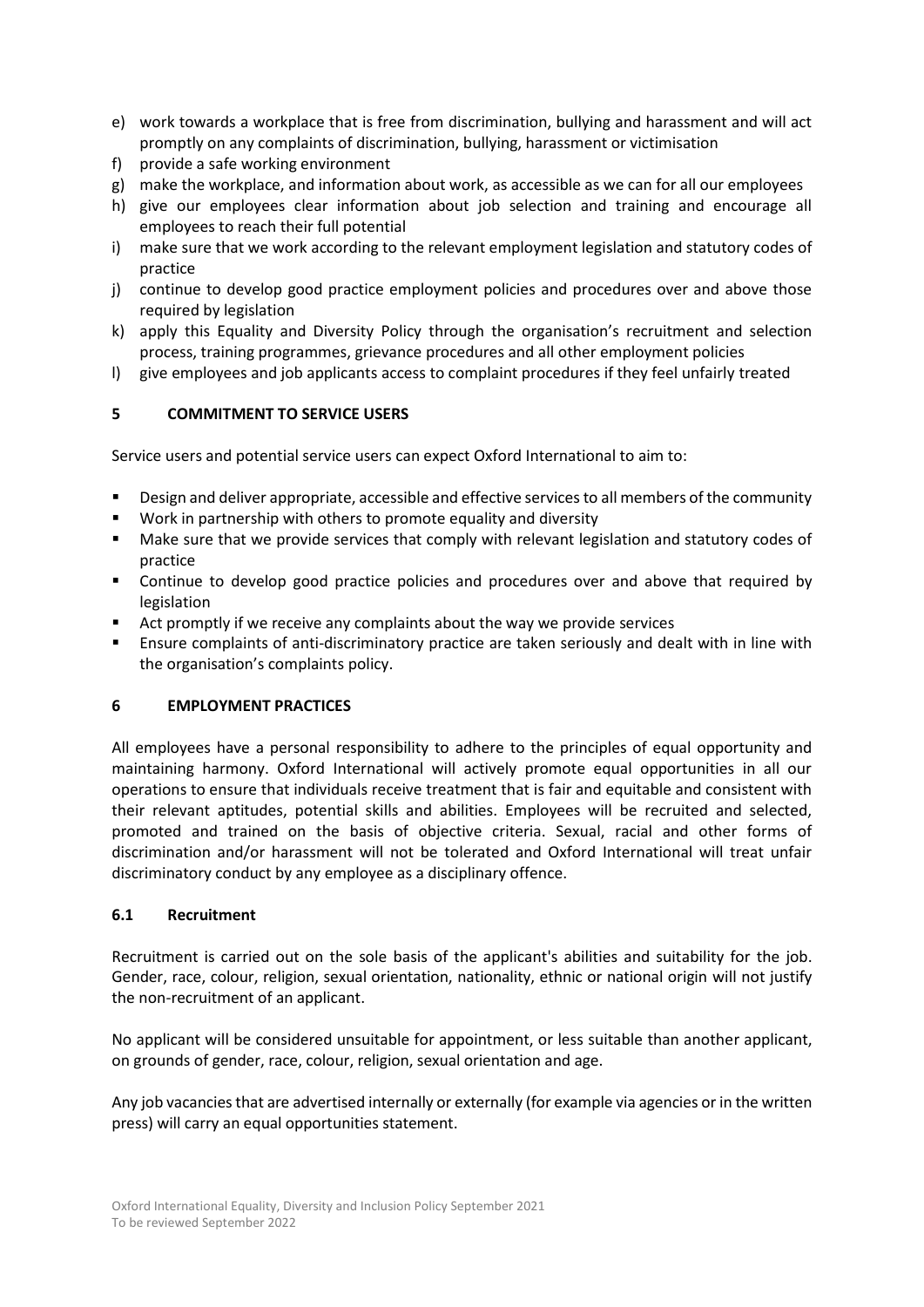- e) work towards a workplace that is free from discrimination, bullying and harassment and will act promptly on any complaints of discrimination, bullying, harassment or victimisation
- f) provide a safe working environment
- g) make the workplace, and information about work, as accessible as we can for all our employees
- h) give our employees clear information about job selection and training and encourage all employees to reach their full potential
- i) make sure that we work according to the relevant employment legislation and statutory codes of practice
- j) continue to develop good practice employment policies and procedures over and above those required by legislation
- k) apply this Equality and Diversity Policy through the organisation's recruitment and selection process, training programmes, grievance procedures and all other employment policies
- l) give employees and job applicants access to complaint procedures if they feel unfairly treated

## **5 COMMITMENT TO SERVICE USERS**

Service users and potential service users can expect Oxford International to aim to:

- Design and deliver appropriate, accessible and effective services to all members of the community
- Work in partnership with others to promote equality and diversity
- Make sure that we provide services that comply with relevant legislation and statutory codes of practice
- Continue to develop good practice policies and procedures over and above that required by legislation
- Act promptly if we receive any complaints about the way we provide services
- Ensure complaints of anti-discriminatory practice are taken seriously and dealt with in line with the organisation's complaints policy.

### **6 EMPLOYMENT PRACTICES**

All employees have a personal responsibility to adhere to the principles of equal opportunity and maintaining harmony. Oxford International will actively promote equal opportunities in all our operations to ensure that individuals receive treatment that is fair and equitable and consistent with their relevant aptitudes, potential skills and abilities. Employees will be recruited and selected, promoted and trained on the basis of objective criteria. Sexual, racial and other forms of discrimination and/or harassment will not be tolerated and Oxford International will treat unfair discriminatory conduct by any employee as a disciplinary offence.

#### **6.1 Recruitment**

Recruitment is carried out on the sole basis of the applicant's abilities and suitability for the job. Gender, race, colour, religion, sexual orientation, nationality, ethnic or national origin will not justify the non-recruitment of an applicant.

No applicant will be considered unsuitable for appointment, or less suitable than another applicant, on grounds of gender, race, colour, religion, sexual orientation and age.

Any job vacancies that are advertised internally or externally (for example via agencies or in the written press) will carry an equal opportunities statement.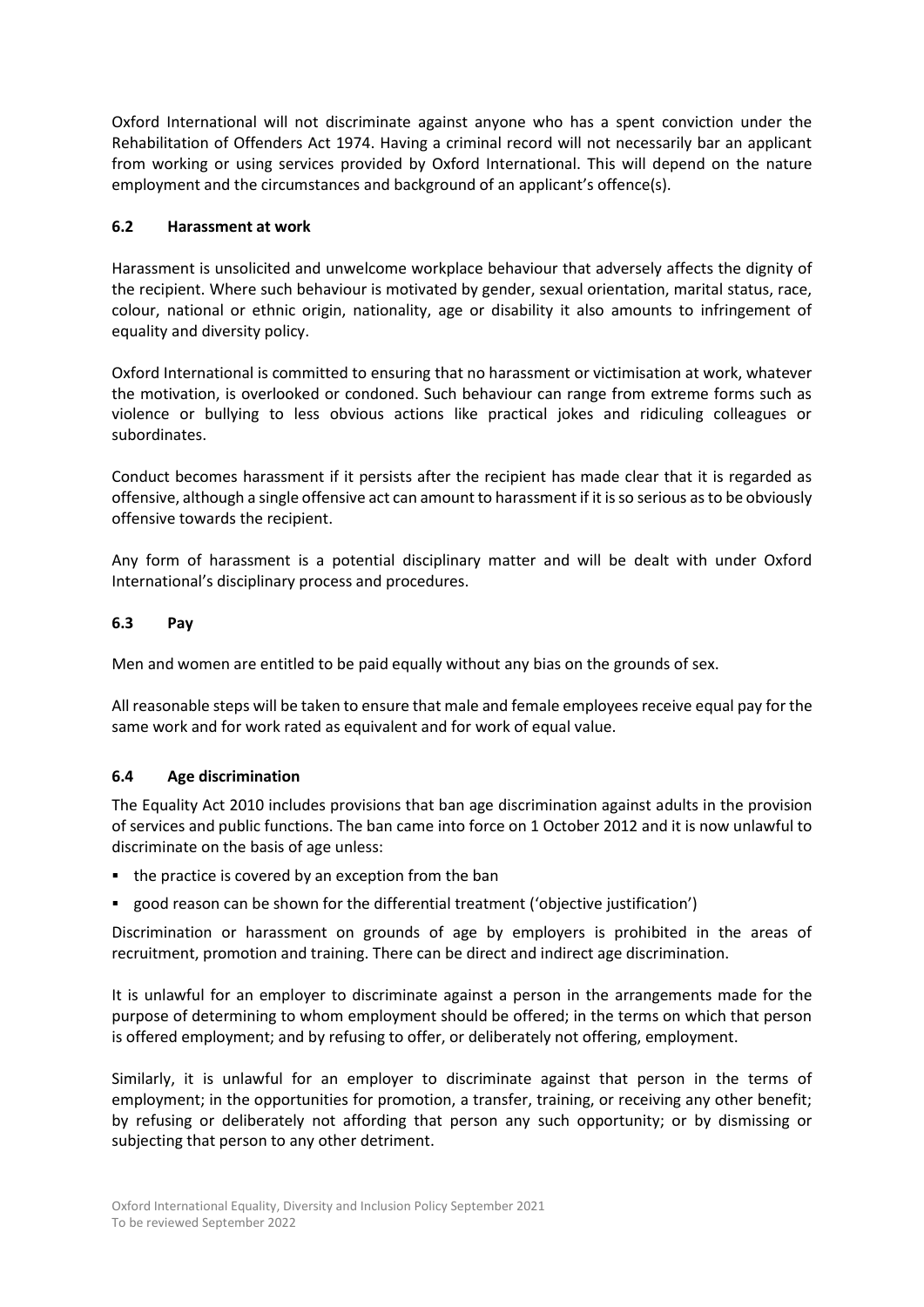Oxford International will not discriminate against anyone who has a spent conviction under the Rehabilitation of Offenders Act 1974. Having a criminal record will not necessarily bar an applicant from working or using services provided by Oxford International. This will depend on the nature employment and the circumstances and background of an applicant's offence(s).

## **6.2 Harassment at work**

Harassment is unsolicited and unwelcome workplace behaviour that adversely affects the dignity of the recipient. Where such behaviour is motivated by gender, sexual orientation, marital status, race, colour, national or ethnic origin, nationality, age or disability it also amounts to infringement of equality and diversity policy.

Oxford International is committed to ensuring that no harassment or victimisation at work, whatever the motivation, is overlooked or condoned. Such behaviour can range from extreme forms such as violence or bullying to less obvious actions like practical jokes and ridiculing colleagues or subordinates.

Conduct becomes harassment if it persists after the recipient has made clear that it is regarded as offensive, although a single offensive act can amount to harassment if it is so serious as to be obviously offensive towards the recipient.

Any form of harassment is a potential disciplinary matter and will be dealt with under Oxford International's disciplinary process and procedures.

## **6.3 Pay**

Men and women are entitled to be paid equally without any bias on the grounds of sex.

All reasonable steps will be taken to ensure that male and female employees receive equal pay for the same work and for work rated as equivalent and for work of equal value.

# **6.4 Age discrimination**

The Equality Act 2010 includes provisions that ban age discrimination against adults in the provision of services and public functions. The ban came into force on 1 October 2012 and it is now unlawful to discriminate on the basis of age unless:

- the practice is covered by an exception from the ban
- good reason can be shown for the differential treatment ('objective justification')

Discrimination or harassment on grounds of age by employers is prohibited in the areas of recruitment, promotion and training. There can be direct and indirect age discrimination.

It is unlawful for an employer to discriminate against a person in the arrangements made for the purpose of determining to whom employment should be offered; in the terms on which that person is offered employment; and by refusing to offer, or deliberately not offering, employment.

Similarly, it is unlawful for an employer to discriminate against that person in the terms of employment; in the opportunities for promotion, a transfer, training, or receiving any other benefit; by refusing or deliberately not affording that person any such opportunity; or by dismissing or subjecting that person to any other detriment.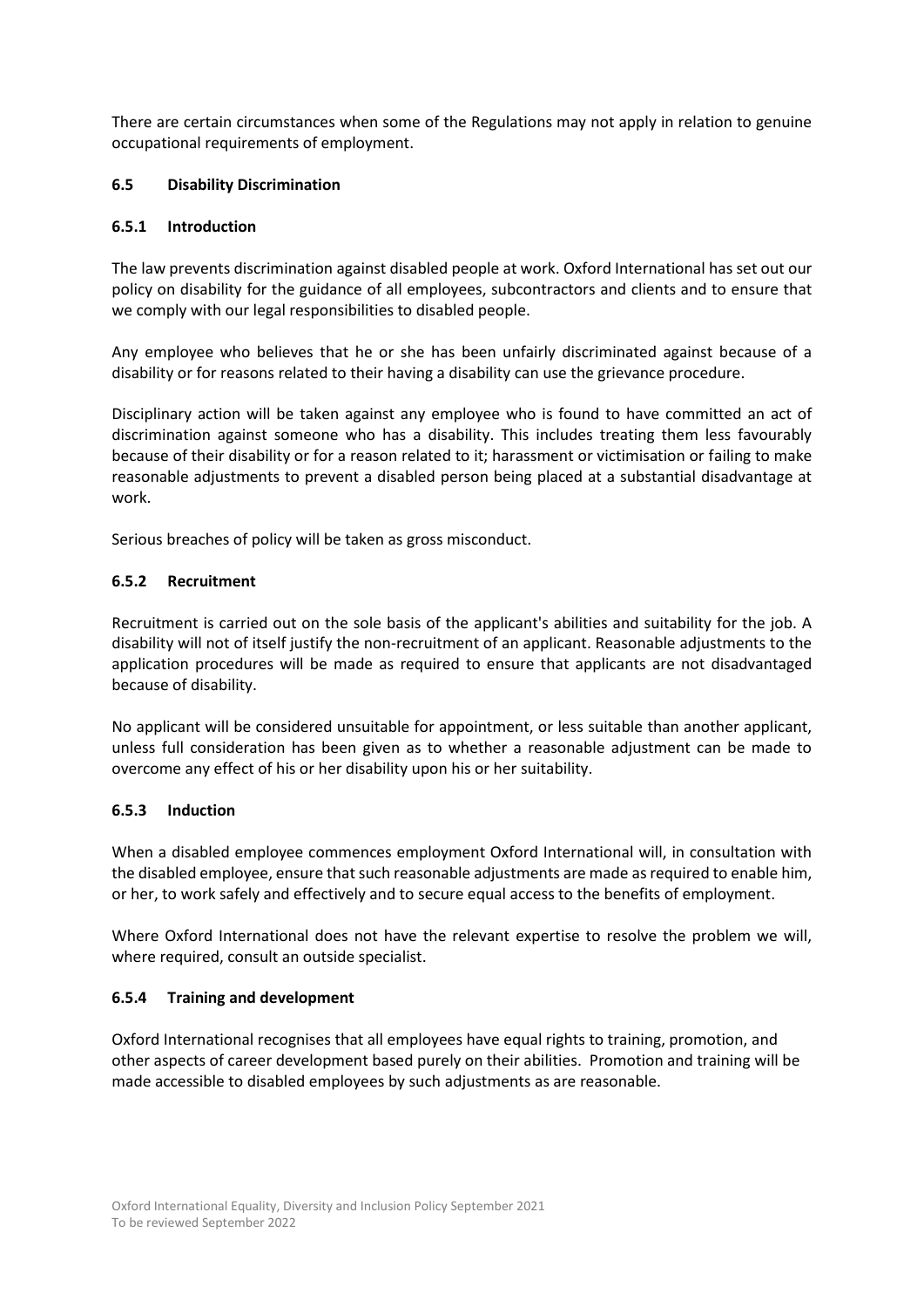There are certain circumstances when some of the Regulations may not apply in relation to genuine occupational requirements of employment.

## **6.5 Disability Discrimination**

### **6.5.1 Introduction**

The law prevents discrimination against disabled people at work. Oxford International has set out our policy on disability for the guidance of all employees, subcontractors and clients and to ensure that we comply with our legal responsibilities to disabled people.

Any employee who believes that he or she has been unfairly discriminated against because of a disability or for reasons related to their having a disability can use the grievance procedure.

Disciplinary action will be taken against any employee who is found to have committed an act of discrimination against someone who has a disability. This includes treating them less favourably because of their disability or for a reason related to it; harassment or victimisation or failing to make reasonable adjustments to prevent a disabled person being placed at a substantial disadvantage at work.

Serious breaches of policy will be taken as gross misconduct.

## **6.5.2 Recruitment**

Recruitment is carried out on the sole basis of the applicant's abilities and suitability for the job. A disability will not of itself justify the non-recruitment of an applicant. Reasonable adjustments to the application procedures will be made as required to ensure that applicants are not disadvantaged because of disability.

No applicant will be considered unsuitable for appointment, or less suitable than another applicant, unless full consideration has been given as to whether a reasonable adjustment can be made to overcome any effect of his or her disability upon his or her suitability.

#### **6.5.3 Induction**

When a disabled employee commences employment Oxford International will, in consultation with the disabled employee, ensure that such reasonable adjustments are made as required to enable him, or her, to work safely and effectively and to secure equal access to the benefits of employment.

Where Oxford International does not have the relevant expertise to resolve the problem we will, where required, consult an outside specialist.

# **6.5.4 Training and development**

Oxford International recognises that all employees have equal rights to training, promotion, and other aspects of career development based purely on their abilities. Promotion and training will be made accessible to disabled employees by such adjustments as are reasonable.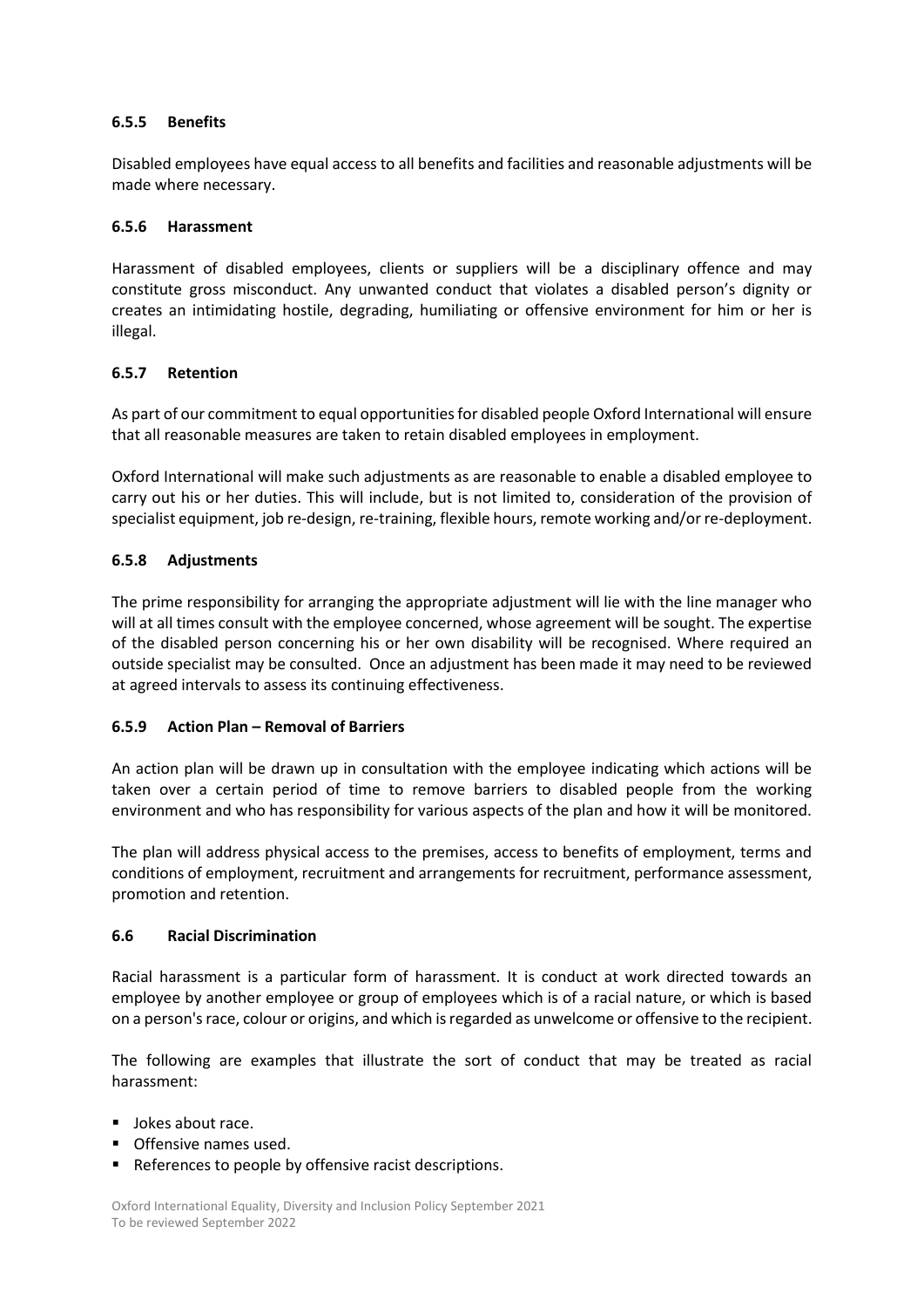## **6.5.5 Benefits**

Disabled employees have equal access to all benefits and facilities and reasonable adjustments will be made where necessary.

### **6.5.6 Harassment**

Harassment of disabled employees, clients or suppliers will be a disciplinary offence and may constitute gross misconduct. Any unwanted conduct that violates a disabled person's dignity or creates an intimidating hostile, degrading, humiliating or offensive environment for him or her is illegal.

## **6.5.7 Retention**

As part of our commitment to equal opportunities for disabled people Oxford International will ensure that all reasonable measures are taken to retain disabled employees in employment.

Oxford International will make such adjustments as are reasonable to enable a disabled employee to carry out his or her duties. This will include, but is not limited to, consideration of the provision of specialist equipment, job re-design, re-training, flexible hours, remote working and/or re-deployment.

## **6.5.8 Adjustments**

The prime responsibility for arranging the appropriate adjustment will lie with the line manager who will at all times consult with the employee concerned, whose agreement will be sought. The expertise of the disabled person concerning his or her own disability will be recognised. Where required an outside specialist may be consulted. Once an adjustment has been made it may need to be reviewed at agreed intervals to assess its continuing effectiveness.

#### **6.5.9 Action Plan – Removal of Barriers**

An action plan will be drawn up in consultation with the employee indicating which actions will be taken over a certain period of time to remove barriers to disabled people from the working environment and who has responsibility for various aspects of the plan and how it will be monitored.

The plan will address physical access to the premises, access to benefits of employment, terms and conditions of employment, recruitment and arrangements for recruitment, performance assessment, promotion and retention.

#### **6.6 Racial Discrimination**

Racial harassment is a particular form of harassment. It is conduct at work directed towards an employee by another employee or group of employees which is of a racial nature, or which is based on a person's race, colour or origins, and which is regarded as unwelcome or offensive to the recipient.

The following are examples that illustrate the sort of conduct that may be treated as racial harassment:

- Jokes about race.
- Offensive names used.
- References to people by offensive racist descriptions.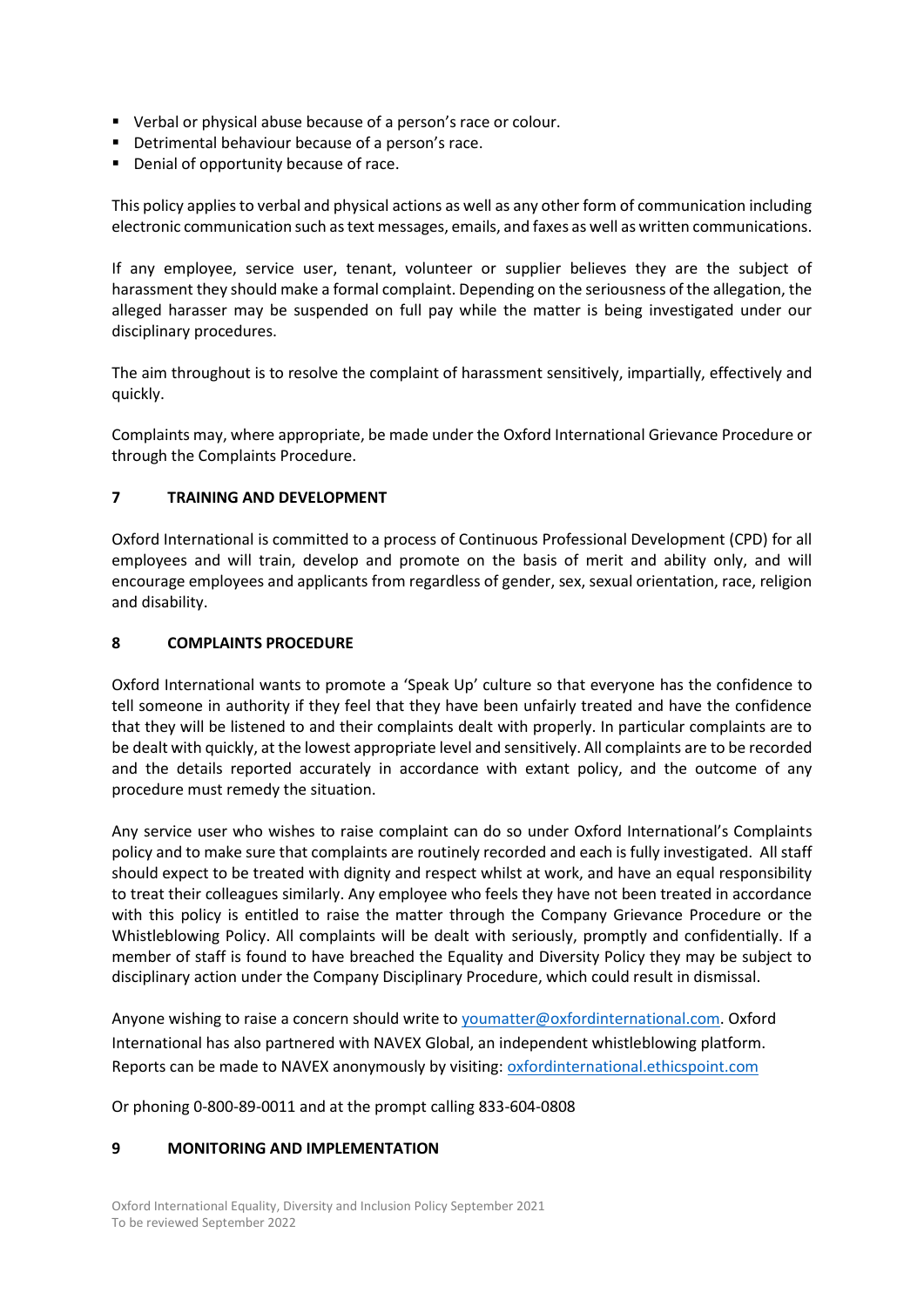- Verbal or physical abuse because of a person's race or colour.
- Detrimental behaviour because of a person's race.
- Denial of opportunity because of race.

This policy applies to verbal and physical actions as well as any other form of communication including electronic communication such as text messages, emails, and faxes as well as written communications.

If any employee, service user, tenant, volunteer or supplier believes they are the subject of harassment they should make a formal complaint. Depending on the seriousness of the allegation, the alleged harasser may be suspended on full pay while the matter is being investigated under our disciplinary procedures.

The aim throughout is to resolve the complaint of harassment sensitively, impartially, effectively and quickly.

Complaints may, where appropriate, be made under the Oxford International Grievance Procedure or through the Complaints Procedure.

#### **7 TRAINING AND DEVELOPMENT**

Oxford International is committed to a process of Continuous Professional Development (CPD) for all employees and will train, develop and promote on the basis of merit and ability only, and will encourage employees and applicants from regardless of gender, sex, sexual orientation, race, religion and disability.

#### **8 COMPLAINTS PROCEDURE**

Oxford International wants to promote a 'Speak Up' culture so that everyone has the confidence to tell someone in authority if they feel that they have been unfairly treated and have the confidence that they will be listened to and their complaints dealt with properly. In particular complaints are to be dealt with quickly, at the lowest appropriate level and sensitively. All complaints are to be recorded and the details reported accurately in accordance with extant policy, and the outcome of any procedure must remedy the situation.

Any service user who wishes to raise complaint can do so under Oxford International's Complaints policy and to make sure that complaints are routinely recorded and each is fully investigated. All staff should expect to be treated with dignity and respect whilst at work, and have an equal responsibility to treat their colleagues similarly. Any employee who feels they have not been treated in accordance with this policy is entitled to raise the matter through the Company Grievance Procedure or the Whistleblowing Policy. All complaints will be dealt with seriously, promptly and confidentially. If a member of staff is found to have breached the Equality and Diversity Policy they may be subject to disciplinary action under the Company Disciplinary Procedure, which could result in dismissal.

Anyone wishing to raise a concern should write t[o youmatter@oxfordinternational.com.](mailto:youmatter@oxfordinternational.com) Oxford International has also partnered with NAVEX Global, an independent whistleblowing platform. Reports can be made to NAVEX anonymously by visiting[: oxfordinternational.ethicspoint.com](https://linkprotect.cudasvc.com/url?a=https%3a%2f%2foxfordinternational.ethicspoint.com&c=E,1,49HToMApqJ6bl1t1buTyTTJmYgJWIEeTEiI2el49WQFaw2FdOdWW-ekRhRmmeSVHPOCP5Q1GEBkYKOJY4qBJjcoYjTS23U5DNt7zT4abLnQg-rnIXSfGuO9W&typo=1&ancr_add=1)

Or phoning 0-800-89-0011 and at the prompt calling 833-604-0808

### **9 MONITORING AND IMPLEMENTATION**